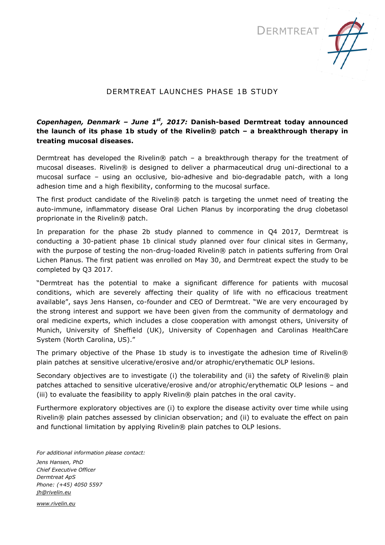



## DERMTREAT LAUNCHES PHASE 1B STUDY

## *Copenhagen, Denmark – June 1 st, 2017:* **Danish-based Dermtreat today announced the launch of its phase 1b study of the Rivelin® patch – a breakthrough therapy in treating mucosal diseases.**

Dermtreat has developed the Rivelin® patch – a breakthrough therapy for the treatment of mucosal diseases. Rivelin® is designed to deliver a pharmaceutical drug uni-directional to a mucosal surface – using an occlusive, bio-adhesive and bio-degradable patch, with a long adhesion time and a high flexibility, conforming to the mucosal surface.

The first product candidate of the Rivelin® patch is targeting the unmet need of treating the auto-immune, inflammatory disease Oral Lichen Planus by incorporating the drug clobetasol proprionate in the Rivelin® patch.

In preparation for the phase 2b study planned to commence in Q4 2017, Dermtreat is conducting a 30-patient phase 1b clinical study planned over four clinical sites in Germany, with the purpose of testing the non-drug-loaded Rivelin® patch in patients suffering from Oral Lichen Planus. The first patient was enrolled on May 30, and Dermtreat expect the study to be completed by Q3 2017.

"Dermtreat has the potential to make a significant difference for patients with mucosal conditions, which are severely affecting their quality of life with no efficacious treatment available", says Jens Hansen, co-founder and CEO of Dermtreat. "We are very encouraged by the strong interest and support we have been given from the community of dermatology and oral medicine experts, which includes a close cooperation with amongst others, University of Munich, University of Sheffield (UK), University of Copenhagen and Carolinas HealthCare System (North Carolina, US)."

The primary objective of the Phase 1b study is to investigate the adhesion time of Rivelin® plain patches at sensitive ulcerative/erosive and/or atrophic/erythematic OLP lesions.

Secondary objectives are to investigate (i) the tolerability and (ii) the safety of Rivelin® plain patches attached to sensitive ulcerative/erosive and/or atrophic/erythematic OLP lesions – and (iii) to evaluate the feasibility to apply Rivelin® plain patches in the oral cavity.

Furthermore exploratory objectives are (i) to explore the disease activity over time while using Rivelin® plain patches assessed by clinician observation; and (ii) to evaluate the effect on pain and functional limitation by applying Rivelin® plain patches to OLP lesions.

*For additional information please contact: Jens Hansen, PhD Chief Executive Officer Dermtreat ApS Phone: (+45) 4050 5597 [jh@rivelin.eu](mailto:jh@rivelin.eu)*

*[www.rivelin.eu](http://www.rivelin.eu/)*